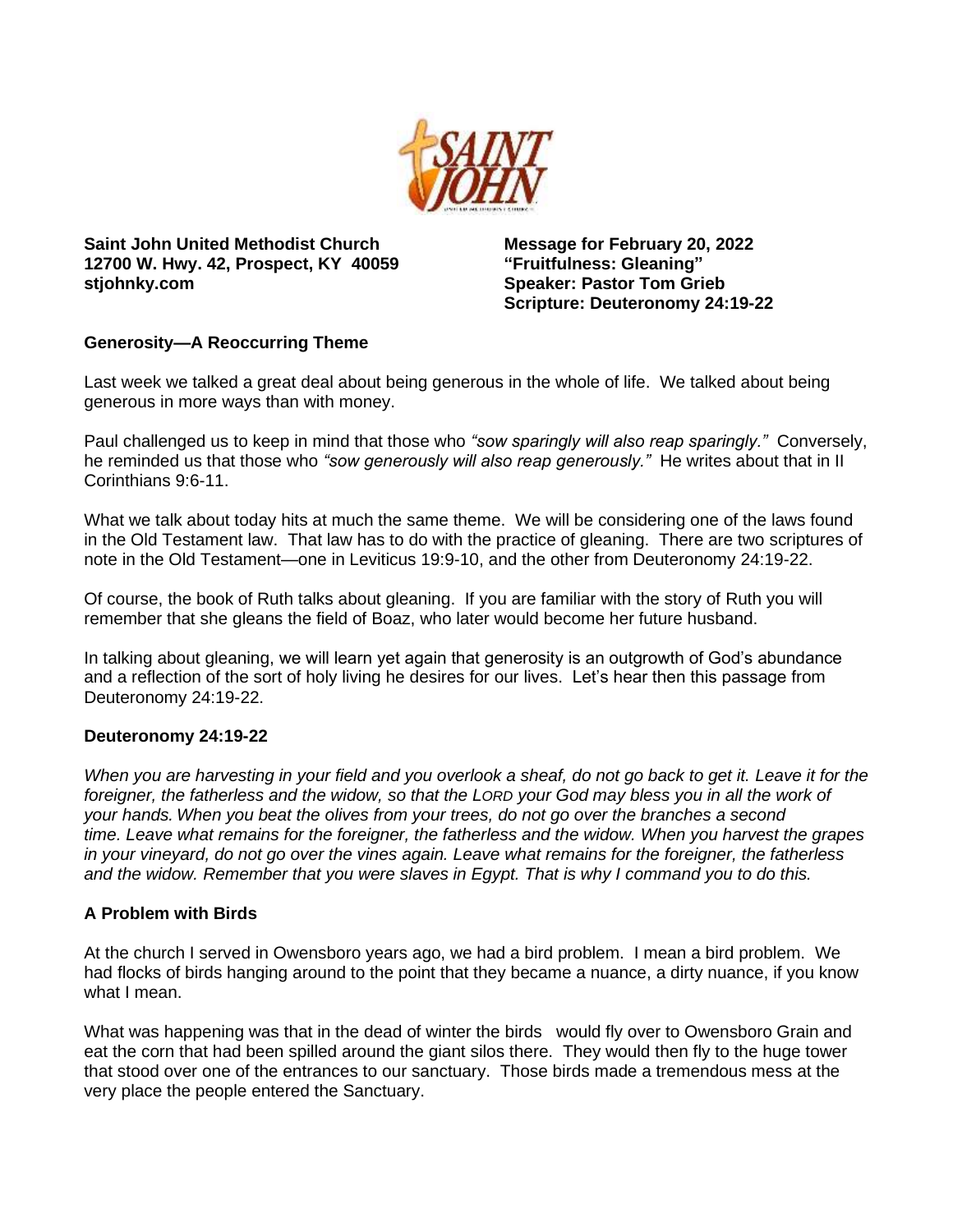

**Saint John United Methodist Church 12700 W. Hwy. 42, Prospect, KY 40059 stjohnky.com**

**Message for February 20, 2022 "Fruitfulness: Gleaning" Speaker: Pastor Tom Grieb Scripture: Deuteronomy 24:19-22**

# **Generosity—A Reoccurring Theme**

Last week we talked a great deal about being generous in the whole of life. We talked about being generous in more ways than with money.

Paul challenged us to keep in mind that those who *"sow sparingly will also reap sparingly."* Conversely, he reminded us that those who *"sow generously will also reap generously."* He writes about that in II Corinthians 9:6-11.

What we talk about today hits at much the same theme. We will be considering one of the laws found in the Old Testament law. That law has to do with the practice of gleaning. There are two scriptures of note in the Old Testament—one in Leviticus 19:9-10, and the other from Deuteronomy 24:19-22.

Of course, the book of Ruth talks about gleaning. If you are familiar with the story of Ruth you will remember that she gleans the field of Boaz, who later would become her future husband.

In talking about gleaning, we will learn yet again that generosity is an outgrowth of God's abundance and a reflection of the sort of holy living he desires for our lives. Let's hear then this passage from Deuteronomy 24:19-22.

# **Deuteronomy 24:19-22**

*When you are harvesting in your field and you overlook a sheaf, do not go back to get it. Leave it for the foreigner, the fatherless and the widow, so that the LORD your God may bless you in all the work of your hands. When you beat the olives from your trees, do not go over the branches a second time. Leave what remains for the foreigner, the fatherless and the widow. When you harvest the grapes in your vineyard, do not go over the vines again. Leave what remains for the foreigner, the fatherless and the widow. Remember that you were slaves in Egypt. That is why I command you to do this.*

#### **A Problem with Birds**

At the church I served in Owensboro years ago, we had a bird problem. I mean a bird problem. We had flocks of birds hanging around to the point that they became a nuance, a dirty nuance, if you know what I mean.

What was happening was that in the dead of winter the birds would fly over to Owensboro Grain and eat the corn that had been spilled around the giant silos there. They would then fly to the huge tower that stood over one of the entrances to our sanctuary. Those birds made a tremendous mess at the very place the people entered the Sanctuary.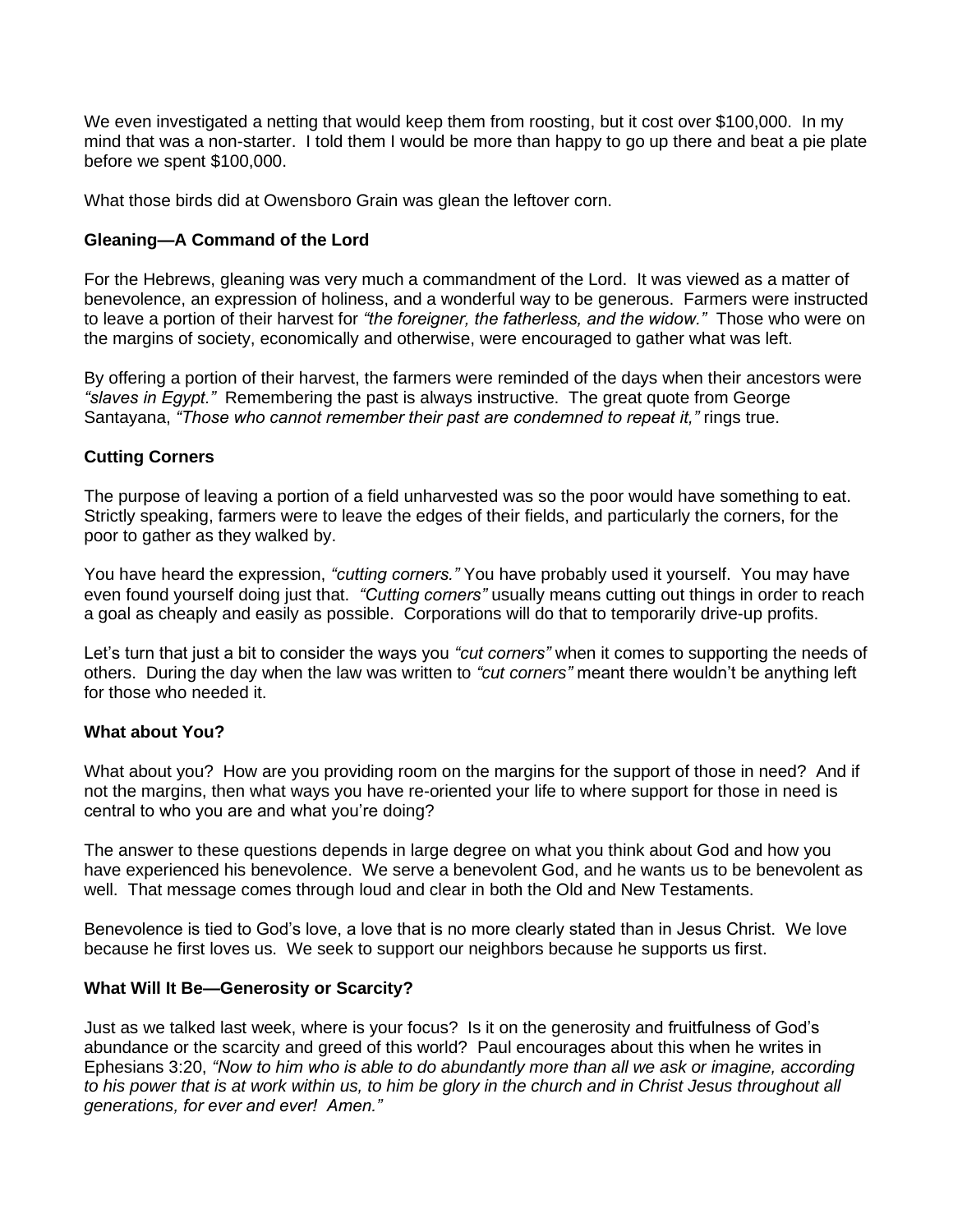We even investigated a netting that would keep them from roosting, but it cost over \$100,000. In my mind that was a non-starter. I told them I would be more than happy to go up there and beat a pie plate before we spent \$100,000.

What those birds did at Owensboro Grain was glean the leftover corn.

## **Gleaning—A Command of the Lord**

For the Hebrews, gleaning was very much a commandment of the Lord. It was viewed as a matter of benevolence, an expression of holiness, and a wonderful way to be generous. Farmers were instructed to leave a portion of their harvest for *"the foreigner, the fatherless, and the widow."* Those who were on the margins of society, economically and otherwise, were encouraged to gather what was left.

By offering a portion of their harvest, the farmers were reminded of the days when their ancestors were *"slaves in Egypt."* Remembering the past is always instructive. The great quote from George Santayana, *"Those who cannot remember their past are condemned to repeat it,"* rings true.

### **Cutting Corners**

The purpose of leaving a portion of a field unharvested was so the poor would have something to eat. Strictly speaking, farmers were to leave the edges of their fields, and particularly the corners, for the poor to gather as they walked by.

You have heard the expression, *"cutting corners."* You have probably used it yourself. You may have even found yourself doing just that. *"Cutting corners"* usually means cutting out things in order to reach a goal as cheaply and easily as possible. Corporations will do that to temporarily drive-up profits.

Let's turn that just a bit to consider the ways you *"cut corners"* when it comes to supporting the needs of others. During the day when the law was written to *"cut corners"* meant there wouldn't be anything left for those who needed it.

#### **What about You?**

What about you? How are you providing room on the margins for the support of those in need? And if not the margins, then what ways you have re-oriented your life to where support for those in need is central to who you are and what you're doing?

The answer to these questions depends in large degree on what you think about God and how you have experienced his benevolence. We serve a benevolent God, and he wants us to be benevolent as well. That message comes through loud and clear in both the Old and New Testaments.

Benevolence is tied to God's love, a love that is no more clearly stated than in Jesus Christ. We love because he first loves us. We seek to support our neighbors because he supports us first.

#### **What Will It Be—Generosity or Scarcity?**

Just as we talked last week, where is your focus? Is it on the generosity and fruitfulness of God's abundance or the scarcity and greed of this world? Paul encourages about this when he writes in Ephesians 3:20, *"Now to him who is able to do abundantly more than all we ask or imagine, according to his power that is at work within us, to him be glory in the church and in Christ Jesus throughout all generations, for ever and ever! Amen."*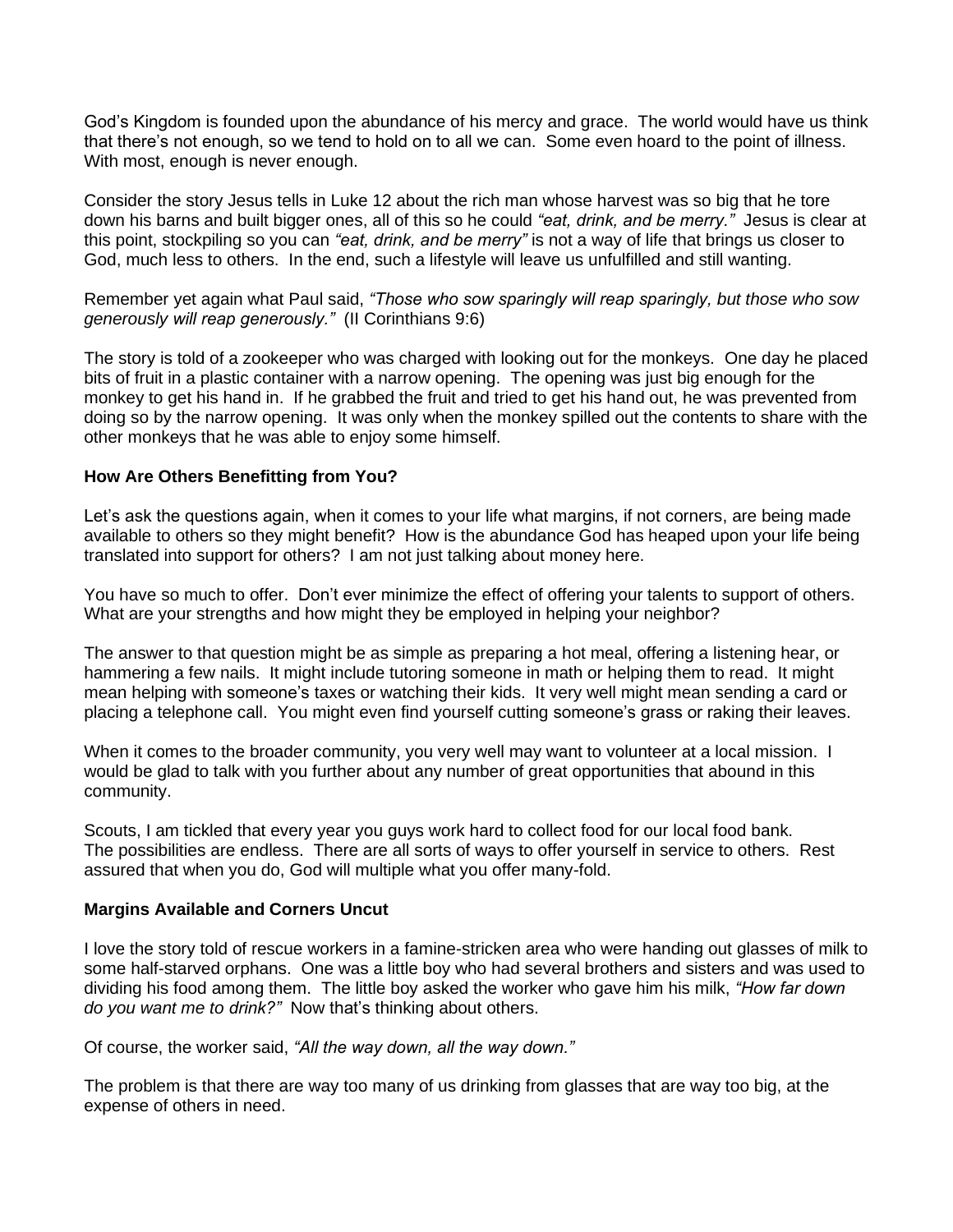God's Kingdom is founded upon the abundance of his mercy and grace. The world would have us think that there's not enough, so we tend to hold on to all we can. Some even hoard to the point of illness. With most, enough is never enough.

Consider the story Jesus tells in Luke 12 about the rich man whose harvest was so big that he tore down his barns and built bigger ones, all of this so he could *"eat, drink, and be merry."* Jesus is clear at this point, stockpiling so you can *"eat, drink, and be merry"* is not a way of life that brings us closer to God, much less to others. In the end, such a lifestyle will leave us unfulfilled and still wanting.

Remember yet again what Paul said, *"Those who sow sparingly will reap sparingly, but those who sow generously will reap generously."* (II Corinthians 9:6)

The story is told of a zookeeper who was charged with looking out for the monkeys. One day he placed bits of fruit in a plastic container with a narrow opening. The opening was just big enough for the monkey to get his hand in. If he grabbed the fruit and tried to get his hand out, he was prevented from doing so by the narrow opening. It was only when the monkey spilled out the contents to share with the other monkeys that he was able to enjoy some himself.

### **How Are Others Benefitting from You?**

Let's ask the questions again, when it comes to your life what margins, if not corners, are being made available to others so they might benefit? How is the abundance God has heaped upon your life being translated into support for others? I am not just talking about money here.

You have so much to offer. Don't ever minimize the effect of offering your talents to support of others. What are your strengths and how might they be employed in helping your neighbor?

The answer to that question might be as simple as preparing a hot meal, offering a listening hear, or hammering a few nails. It might include tutoring someone in math or helping them to read. It might mean helping with someone's taxes or watching their kids. It very well might mean sending a card or placing a telephone call. You might even find yourself cutting someone's grass or raking their leaves.

When it comes to the broader community, you very well may want to volunteer at a local mission. I would be glad to talk with you further about any number of great opportunities that abound in this community.

Scouts, I am tickled that every year you guys work hard to collect food for our local food bank. The possibilities are endless. There are all sorts of ways to offer yourself in service to others. Rest assured that when you do, God will multiple what you offer many-fold.

#### **Margins Available and Corners Uncut**

I love the story told of rescue workers in a famine-stricken area who were handing out glasses of milk to some half-starved orphans. One was a little boy who had several brothers and sisters and was used to dividing his food among them. The little boy asked the worker who gave him his milk, *"How far down do you want me to drink?"* Now that's thinking about others.

Of course, the worker said, *"All the way down, all the way down."*

The problem is that there are way too many of us drinking from glasses that are way too big, at the expense of others in need.